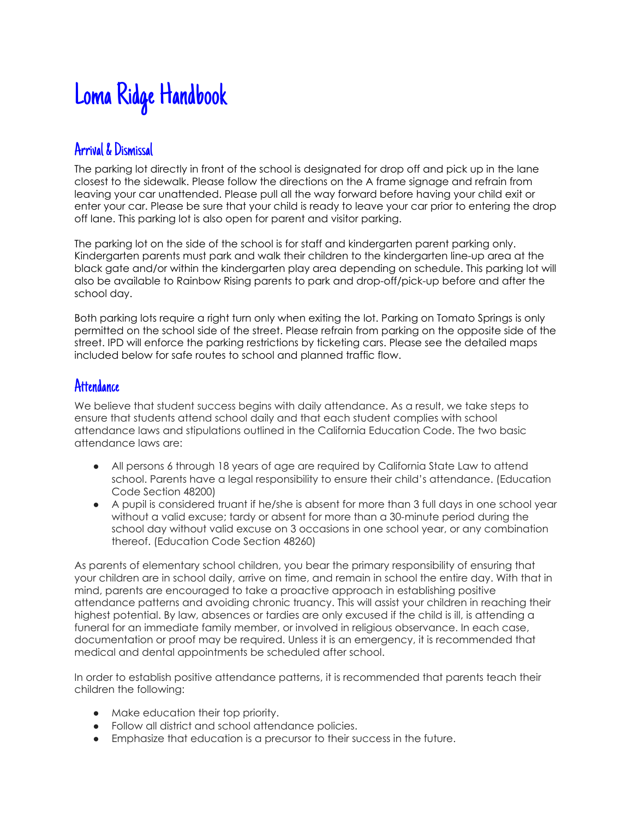# Loma Ridge Handbook

#### Arrival & Dismissal

The parking lot directly in front of the school is designated for drop off and pick up in the lane closest to the sidewalk. Please follow the directions on the A frame signage and refrain from leaving your car unattended. Please pull all the way forward before having your child exit or enter your car. Please be sure that your child is ready to leave your car prior to entering the drop off lane. This parking lot is also open for parent and visitor parking.

The parking lot on the side of the school is for staff and kindergarten parent parking only. Kindergarten parents must park and walk their children to the kindergarten line-up area at the black gate and/or within the kindergarten play area depending on schedule. This parking lot will also be available to Rainbow Rising parents to park and drop-off/pick-up before and after the school day.

Both parking lots require a right turn only when exiting the lot. Parking on Tomato Springs is only permitted on the school side of the street. Please refrain from parking on the opposite side of the street. IPD will enforce the parking restrictions by ticketing cars. Please see the detailed maps included below for safe routes to school and planned traffic flow.

#### **Attendance**

We believe that student success begins with daily attendance. As a result, we take steps to ensure that students attend school daily and that each student complies with school attendance laws and stipulations outlined in the California Education Code. The two basic attendance laws are:

- All persons 6 through 18 years of age are required by California State Law to attend school. Parents have a legal responsibility to ensure their child's attendance. (Education Code Section 48200)
- A pupil is considered truant if he/she is absent for more than 3 full days in one school year without a valid excuse; tardy or absent for more than a 30-minute period during the school day without valid excuse on 3 occasions in one school year, or any combination thereof. (Education Code Section 48260)

As parents of elementary school children, you bear the primary responsibility of ensuring that your children are in school daily, arrive on time, and remain in school the entire day. With that in mind, parents are encouraged to take a proactive approach in establishing positive attendance patterns and avoiding chronic truancy. This will assist your children in reaching their highest potential. By law, absences or tardies are only excused if the child is ill, is attending a funeral for an immediate family member, or involved in religious observance. In each case, documentation or proof may be required. Unless it is an emergency, it is recommended that medical and dental appointments be scheduled after school.

In order to establish positive attendance patterns, it is recommended that parents teach their children the following:

- Make education their top priority.
- Follow all district and school attendance policies.
- Emphasize that education is a precursor to their success in the future.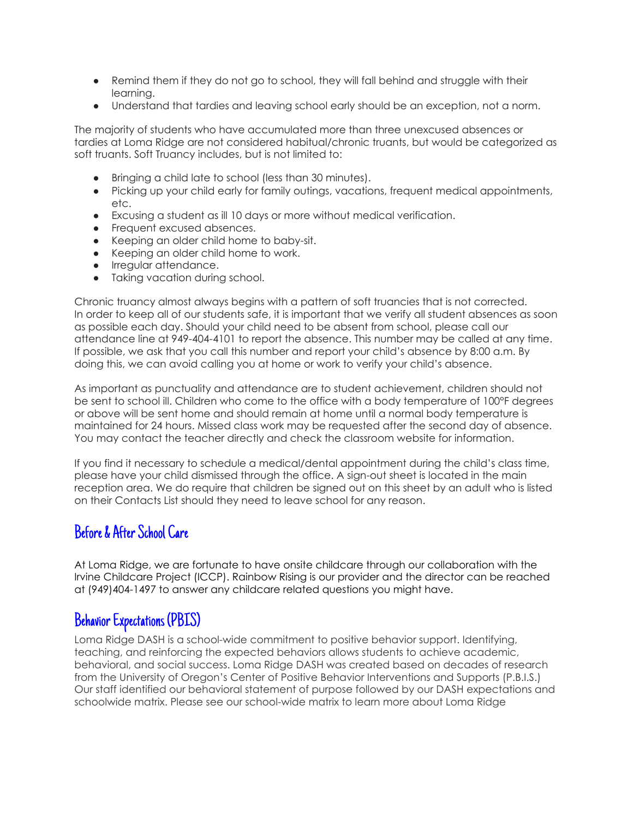- Remind them if they do not go to school, they will fall behind and struggle with their learning.
- Understand that tardies and leaving school early should be an exception, not a norm.

The majority of students who have accumulated more than three unexcused absences or tardies at Loma Ridge are not considered habitual/chronic truants, but would be categorized as soft truants. Soft Truancy includes, but is not limited to:

- Bringing a child late to school (less than 30 minutes).
- Picking up your child early for family outings, vacations, frequent medical appointments, etc.
- Excusing a student as ill 10 days or more without medical verification.
- Frequent excused absences.
- Keeping an older child home to baby-sit.
- Keeping an older child home to work.
- Irregular attendance.
- Taking vacation during school.

Chronic truancy almost always begins with a pattern of soft truancies that is not corrected. In order to keep all of our students safe, it is important that we verify all student absences as soon as possible each day. Should your child need to be absent from school, please call our attendance line at 949-404-4101 to report the absence. This number may be called at any time. If possible, we ask that you call this number and report your child's absence by 8:00 a.m. By doing this, we can avoid calling you at home or work to verify your child's absence.

As important as punctuality and attendance are to student achievement, children should not be sent to school ill. Children who come to the office with a body temperature of 100°F degrees or above will be sent home and should remain at home until a normal body temperature is maintained for 24 hours. Missed class work may be requested after the second day of absence. You may contact the teacher directly and check the classroom website for information.

If you find it necessary to schedule a medical/dental appointment during the child's class time, please have your child dismissed through the office. A sign-out sheet is located in the main reception area. We do require that children be signed out on this sheet by an adult who is listed on their Contacts List should they need to leave school for any reason.

#### Before & After School Care

At Loma Ridge, we are fortunate to have onsite childcare through our collaboration with the Irvine Childcare Project (ICCP). Rainbow Rising is our provider and the director can be reached at (949)404-1497 to answer any childcare related questions you might have.

# Behavior Expectations (PBIS)

Loma Ridge DASH is a school-wide commitment to positive behavior support. Identifying, teaching, and reinforcing the expected behaviors allows students to achieve academic, behavioral, and social success. Loma Ridge DASH was created based on decades of research from the University of Oregon's Center of Positive Behavior Interventions and Supports (P.B.I.S.) Our staff identified our behavioral statement of purpose followed by our DASH expectations and schoolwide matrix. Please see our school-wide matrix to learn more about Loma Ridge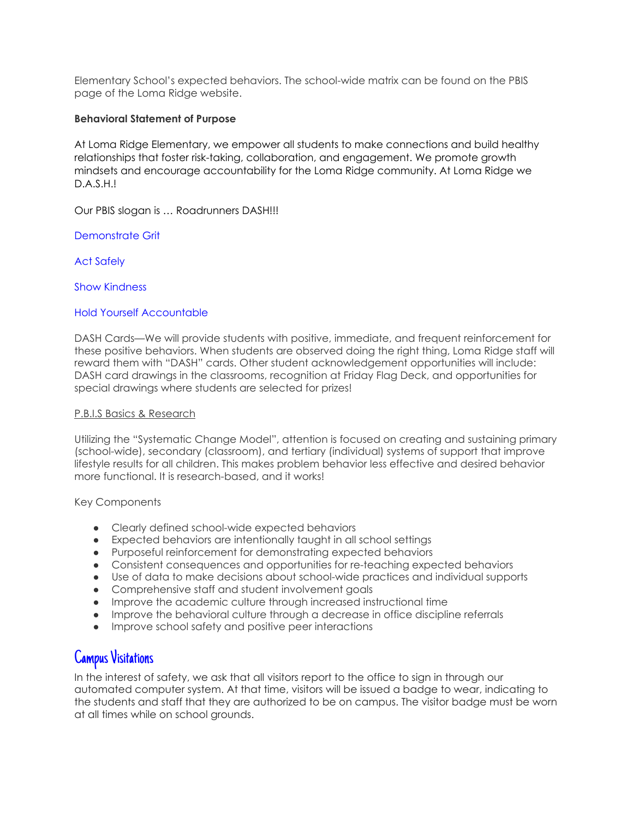Elementary School's expected behaviors. The school-wide matrix can be found on the PBIS page of the Loma Ridge website.

#### **Behavioral Statement of Purpose**

At Loma Ridge Elementary, we empower all students to make connections and build healthy relationships that foster risk-taking, collaboration, and engagement. We promote growth mindsets and encourage accountability for the Loma Ridge community. At Loma Ridge we D.A.S.H.!

Our PBIS slogan is … Roadrunners DASH!!!

Demonstrate Grit

Act Safely

Show Kindness

#### Hold Yourself Accountable

DASH Cards—We will provide students with positive, immediate, and frequent reinforcement for these positive behaviors. When students are observed doing the right thing, Loma Ridge staff will reward them with "DASH" cards. Other student acknowledgement opportunities will include: DASH card drawings in the classrooms, recognition at Friday Flag Deck, and opportunities for special drawings where students are selected for prizes!

#### P.B.I.S Basics & Research

Utilizing the "Systematic Change Model", attention is focused on creating and sustaining primary (school-wide), secondary (classroom), and tertiary (individual) systems of support that improve lifestyle results for all children. This makes problem behavior less effective and desired behavior more functional. It is research-based, and it works!

Key Components

- Clearly defined school-wide expected behaviors
- Expected behaviors are intentionally taught in all school settings
- Purposeful reinforcement for demonstrating expected behaviors
- Consistent consequences and opportunities for re-teaching expected behaviors
- Use of data to make decisions about school-wide practices and individual supports
- Comprehensive staff and student involvement goals
- Improve the academic culture through increased instructional time
- Improve the behavioral culture through a decrease in office discipline referrals
- Improve school safety and positive peer interactions

#### Campus Visitations

In the interest of safety, we ask that all visitors report to the office to sign in through our automated computer system. At that time, visitors will be issued a badge to wear, indicating to the students and staff that they are authorized to be on campus. The visitor badge must be worn at all times while on school grounds.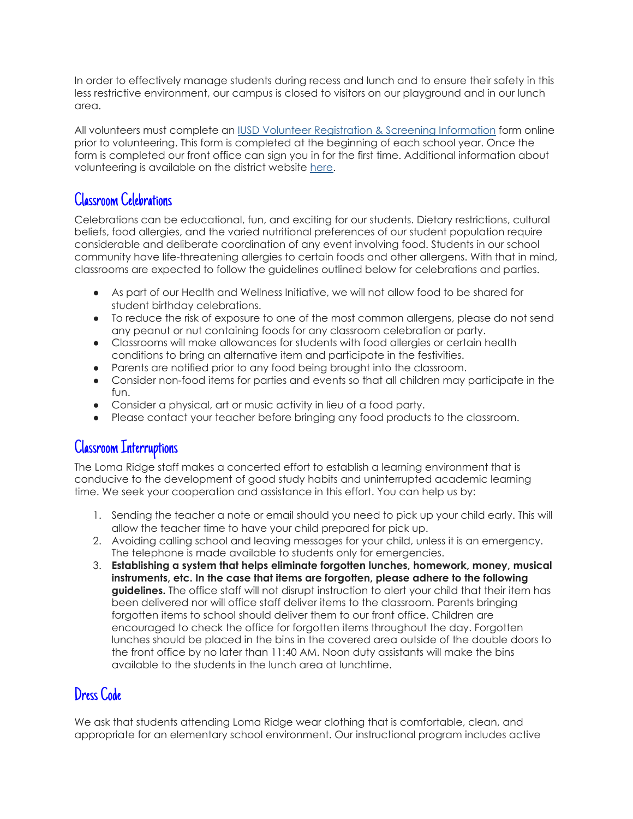In order to effectively manage students during recess and lunch and to ensure their safety in this less restrictive environment, our campus is closed to visitors on our playground and in our lunch area.

All volunteers must complete a[n](https://apps.raptortech.com/Apply/MTU5OmVuLVVT) IUSD Volunteer [Registration](https://apps.raptortech.com/Apply/MTU5OmVuLVVT) & Screening Information form online prior to volunteering. This form is completed at the beginning of each school year. Once the form is completed our front office can sign you in for the first time. Additional information about volunteering is available on the district websit[e](https://iusd.org/parents/parent-involvement/volunteers) [here](https://iusd.org/parents/parent-involvement/volunteers).

## Classroom Celebrations

Celebrations can be educational, fun, and exciting for our students. Dietary restrictions, cultural beliefs, food allergies, and the varied nutritional preferences of our student population require considerable and deliberate coordination of any event involving food. Students in our school community have life-threatening allergies to certain foods and other allergens. With that in mind, classrooms are expected to follow the guidelines outlined below for celebrations and parties.

- As part of our Health and Wellness Initiative, we will not allow food to be shared for student birthday celebrations.
- To reduce the risk of exposure to one of the most common allergens, please do not send any peanut or nut containing foods for any classroom celebration or party.
- Classrooms will make allowances for students with food allergies or certain health conditions to bring an alternative item and participate in the festivities.
- Parents are notified prior to any food being brought into the classroom.
- Consider non-food items for parties and events so that all children may participate in the fun.
- Consider a physical, art or music activity in lieu of a food party.
- Please contact your teacher before bringing any food products to the classroom.

#### Classroom Interruptions

The Loma Ridge staff makes a concerted effort to establish a learning environment that is conducive to the development of good study habits and uninterrupted academic learning time. We seek your cooperation and assistance in this effort. You can help us by:

- 1. Sending the teacher a note or email should you need to pick up your child early. This will allow the teacher time to have your child prepared for pick up.
- 2. Avoiding calling school and leaving messages for your child, unless it is an emergency. The telephone is made available to students only for emergencies.
- 3. **Establishing a system that helps eliminate forgotten lunches, homework, money, musical instruments, etc. In the case that items are forgotten, please adhere to the following guidelines.** The office staff will not disrupt instruction to alert your child that their item has been delivered nor will office staff deliver items to the classroom. Parents bringing forgotten items to school should deliver them to our front office. Children are encouraged to check the office for forgotten items throughout the day. Forgotten lunches should be placed in the bins in the covered area outside of the double doors to the front office by no later than 11:40 AM. Noon duty assistants will make the bins available to the students in the lunch area at lunchtime.

# Dress Code

We ask that students attending Loma Ridge wear clothing that is comfortable, clean, and appropriate for an elementary school environment. Our instructional program includes active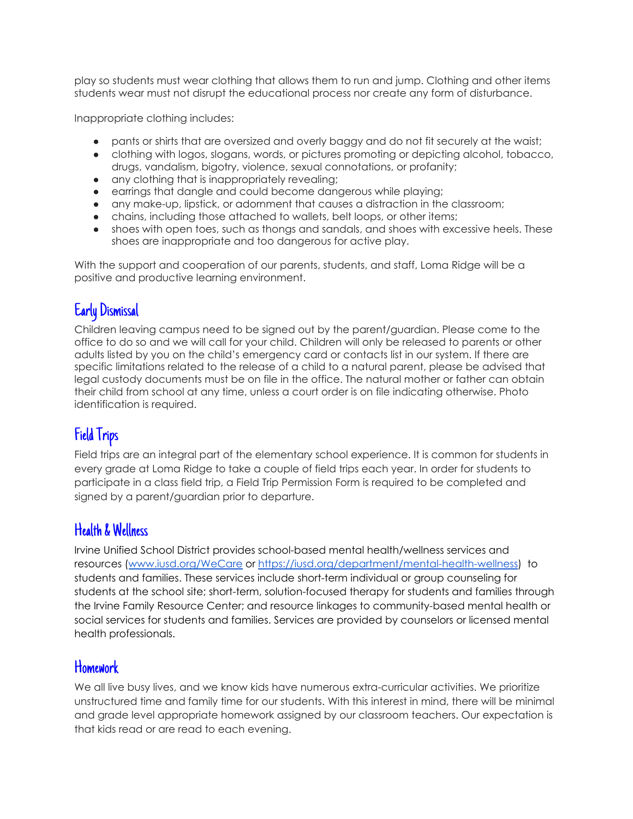play so students must wear clothing that allows them to run and jump. Clothing and other items students wear must not disrupt the educational process nor create any form of disturbance.

Inappropriate clothing includes:

- pants or shirts that are oversized and overly baggy and do not fit securely at the waist;
- clothing with logos, slogans, words, or pictures promoting or depicting alcohol, tobacco, drugs, vandalism, bigotry, violence, sexual connotations, or profanity;
- any clothing that is inappropriately revealing;
- earrings that dangle and could become dangerous while playing;
- any make-up, lipstick, or adornment that causes a distraction in the classroom;
- chains, including those attached to wallets, belt loops, or other items;
- shoes with open toes, such as thongs and sandals, and shoes with excessive heels. These shoes are inappropriate and too dangerous for active play.

With the support and cooperation of our parents, students, and staff, Loma Ridge will be a positive and productive learning environment.

# Early Dismissal

Children leaving campus need to be signed out by the parent/guardian. Please come to the office to do so and we will call for your child. Children will only be released to parents or other adults listed by you on the child's emergency card or contacts list in our system. If there are specific limitations related to the release of a child to a natural parent, please be advised that legal custody documents must be on file in the office. The natural mother or father can obtain their child from school at any time, unless a court order is on file indicating otherwise. Photo identification is required.

# Field Trips

Field trips are an integral part of the elementary school experience. It is common for students in every grade at Loma Ridge to take a couple of field trips each year. In order for students to participate in a class field trip, a Field Trip Permission Form is required to be completed and signed by a parent/guardian prior to departure.

#### Health & Wellness

Irvine Unified School District provides school-based mental health/wellness services and resources [\(www.iusd.org/WeCare](http://www.iusd.org/WeCare) or <https://iusd.org/department/mental-health-wellness>) to students and families. These services include short-term individual or group counseling for students at the school site; short-term, solution-focused therapy for students and families through the Irvine Family Resource Center; and resource linkages to community-based mental health or social services for students and families. Services are provided by counselors or licensed mental health professionals.

#### **Homework**

We all live busy lives, and we know kids have numerous extra-curricular activities. We prioritize unstructured time and family time for our students. With this interest in mind, there will be minimal and grade level appropriate homework assigned by our classroom teachers. Our expectation is that kids read or are read to each evening.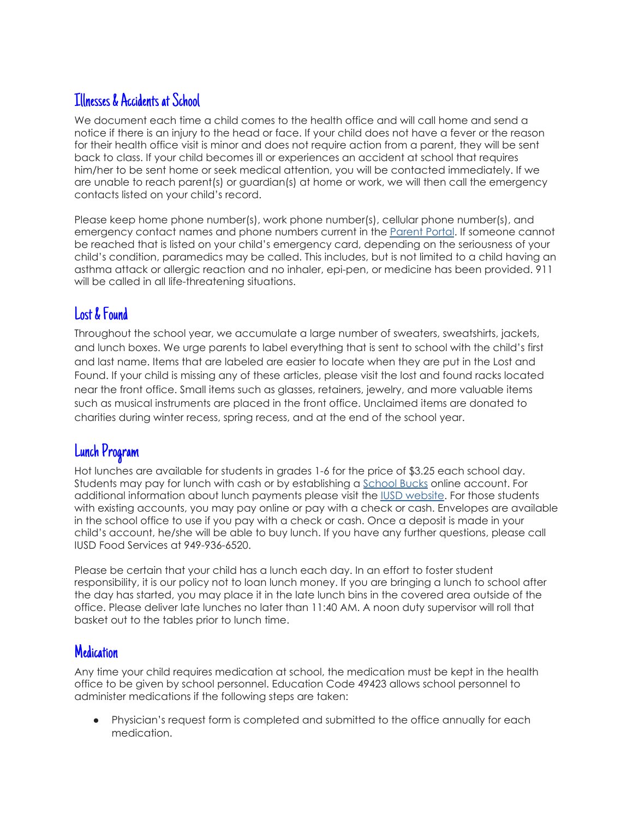## Illnesses & Accidents at School

We document each time a child comes to the health office and will call home and send a notice if there is an injury to the head or face. If your child does not have a fever or the reason for their health office visit is minor and does not require action from a parent, they will be sent back to class. If your child becomes ill or experiences an accident at school that requires him/her to be sent home or seek medical attention, you will be contacted immediately. If we are unable to reach parent(s) or guardian(s) at home or work, we will then call the emergency contacts listed on your child's record.

Please keep home phone number(s), work phone number(s), [ce](https://my.iusd.org/)llular phone number(s), and emergency contact names and phone numbers current in the [Parent](https://my.iusd.org/) Portal. If someone cannot be reached that is listed on your child's emergency card, depending on the seriousness of your child's condition, paramedics may be called. This includes, but is not limited to a child having an asthma attack or allergic reaction and no inhaler, epi-pen, or medicine has been provided. 911 will be called in all life-threatening situations.

## Lost & Found

Throughout the school year, we accumulate a large number of sweaters, sweatshirts, jackets, and lunch boxes. We urge parents to label everything that is sent to school with the child's first and last name. Items that are labeled are easier to locate when they are put in the Lost and Found. If your child is missing any of these articles, please visit the lost and found racks located near the front office. Small items such as glasses, retainers, jewelry, and more valuable items such as musical instruments are placed in the front office. Unclaimed items are donated to charities during winter recess, spring recess, and at the end of the school year.

# Lunch Program

Hot lunches are available for students in grades 1-6 for the price of \$3.25 each school day. Students may pay for lunch with cash or by establishing a [School](https://www.myschoolbucks.com/) Bucks online account. For additional information about lunch payments please visit the IUSD [website.](https://iusd.org/about/departments/business-services/nutrition-services/payment-methods) For those students with existing accounts, you may pay online or pay with a check or cash. Envelopes are available in the school office to use if you pay with a check or cash. Once a deposit is made in your child's account, he/she will be able to buy lunch. If you have any further questions, please call IUSD Food Services at 949-936-6520.

Please be certain that your child has a lunch each day. In an effort to foster student responsibility, it is our policy not to loan lunch money. If you are bringing a lunch to school after the day has started, you may place it in the late lunch bins in the covered area outside of the office. Please deliver late lunches no later than 11:40 AM. A noon duty supervisor will roll that basket out to the tables prior to lunch time.

#### **Medication**

Any time your child requires medication at school, the medication must be kept in the health office to be given by school personnel. Education Code 49423 allows school personnel to administer medications if the following steps are taken:

● Physician's request form is completed and submitted to the office annually for each medication.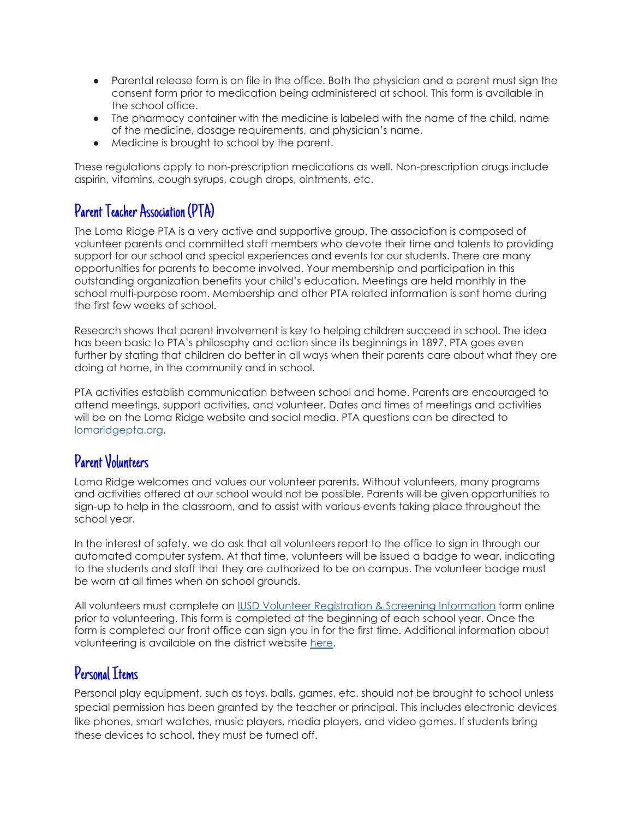- Parental release form is on file in the office. Both the physician and a parent must sign the consent form prior to medication being administered at school. This form is available in the school office.
- The pharmacy container with the medicine is labeled with the name of the child, name of the medicine, dosage requirements, and physician's name.
- Medicine is brought to school by the parent.

These regulations apply to non-prescription medications as well. Non-prescription drugs include aspirin, vitamins, cough syrups, cough drops, ointments, etc.

# Parent Teacher Association (PTA)

The Loma Ridge PTA is a very active and supportive group. The association is composed of volunteer parents and committed staff members who devote their time and talents to providing support for our school and special experiences and events for our students. There are many opportunities for parents to become involved. Your membership and participation in this outstanding organization benefits your child's education. Meetings are held monthly in the school multi-purpose room. Membership and other PTA related information is sent home during the first few weeks of school.

Research shows that parent involvement is key to helping children succeed in school. The idea has been basic to PTA's philosophy and action since its beginnings in 1897. PTA goes even further by stating that children do better in all ways when their parents care about what they are doing at home, in the community and in school.

PTA activities establish communication between school and home. Parents are encouraged to attend meetings, support activities, and volunteer. Dates and times of meetings and activities will be on the Loma Ridge website and social media. PTA questions can be directed to lomaridgepta.org.

#### Parent Volunteers

Loma Ridge welcomes and values our volunteer parents. Without volunteers, many programs and activities offered at our school would not be possible. Parents will be given opportunities to sign-up to help in the classroom, and to assist with various events taking place throughout the school year.

In the interest of safety, we do ask that all volunteers report to the office to sign in through our automated computer system. At that time, volunteers will be issued a badge to wear, indicating to the students and staff that they are authorized to be on campus. The volunteer badge must be worn at all times when on school grounds.

All volunteers must complete a[n](https://apps.raptortech.com/Apply/MTU5OmVuLVVT) IUSD Volunteer [Registration](https://apps.raptortech.com/Apply/MTU5OmVuLVVT) & Screening Information form online prior to volunteering. This form is completed at the beginning of each school year. Once the form is completed our front office can sign you in for the first time. Additional information about volunt[e](https://iusd.org/parents/parent-involvement/volunteers)ering is available on the district website [here](https://iusd.org/parents/parent-involvement/volunteers).

#### Personal Items

Personal play equipment, such as toys, balls, games, etc. should not be brought to school unless special permission has been granted by the teacher or principal. This includes electronic devices like phones, smart watches, music players, media players, and video games. If students bring these devices to school, they must be turned off.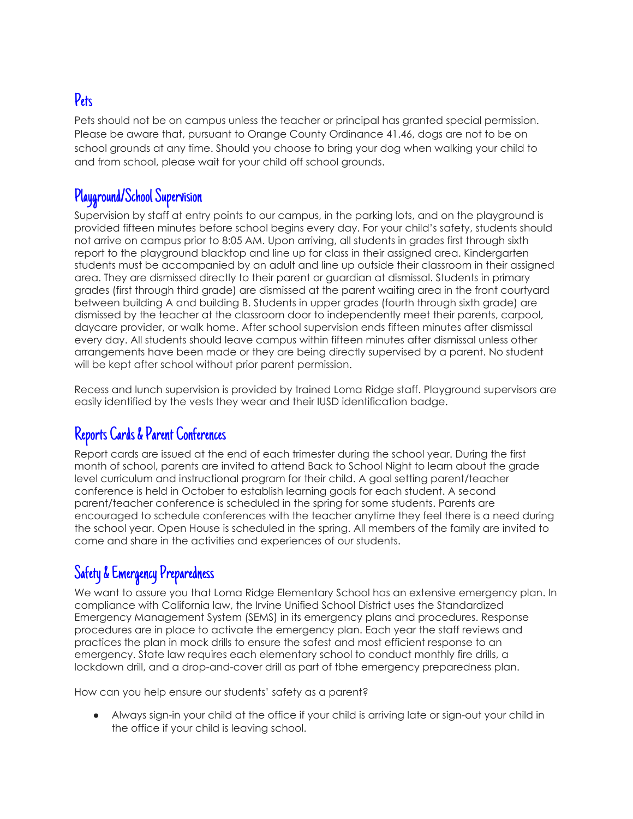# Pets

Pets should not be on campus unless the teacher or principal has granted special permission. Please be aware that, pursuant to Orange County Ordinance 41.46, dogs are not to be on school grounds at any time. Should you choose to bring your dog when walking your child to and from school, please wait for your child off school grounds.

# Playground/School Supervision

Supervision by staff at entry points to our campus, in the parking lots, and on the playground is provided fifteen minutes before school begins every day. For your child's safety, students should not arrive on campus prior to 8:05 AM. Upon arriving, all students in grades first through sixth report to the playground blacktop and line up for class in their assigned area. Kindergarten students must be accompanied by an adult and line up outside their classroom in their assigned area. They are dismissed directly to their parent or guardian at dismissal. Students in primary grades (first through third grade) are dismissed at the parent waiting area in the front courtyard between building A and building B. Students in upper grades (fourth through sixth grade) are dismissed by the teacher at the classroom door to independently meet their parents, carpool, daycare provider, or walk home. After school supervision ends fifteen minutes after dismissal every day. All students should leave campus within fifteen minutes after dismissal unless other arrangements have been made or they are being directly supervised by a parent. No student will be kept after school without prior parent permission.

Recess and lunch supervision is provided by trained Loma Ridge staff. Playground supervisors are easily identified by the vests they wear and their IUSD identification badge.

## Reports Cards & Parent Conferences

Report cards are issued at the end of each trimester during the school year. During the first month of school, parents are invited to attend Back to School Night to learn about the grade level curriculum and instructional program for their child. A goal setting parent/teacher conference is held in October to establish learning goals for each student. A second parent/teacher conference is scheduled in the spring for some students. Parents are encouraged to schedule conferences with the teacher anytime they feel there is a need during the school year. Open House is scheduled in the spring. All members of the family are invited to come and share in the activities and experiences of our students.

# Safety & Emergency Preparedness

We want to assure you that Loma Ridge Elementary School has an extensive emergency plan. In compliance with California law, the Irvine Unified School District uses the Standardized Emergency Management System (SEMS) in its emergency plans and procedures. Response procedures are in place to activate the emergency plan. Each year the staff reviews and practices the plan in mock drills to ensure the safest and most efficient response to an emergency. State law requires each elementary school to conduct monthly fire drills, a lockdown drill, and a drop-and-cover drill as part of tbhe emergency preparedness plan.

How can you help ensure our students' safety as a parent?

● Always sign-in your child at the office if your child is arriving late or sign-out your child in the office if your child is leaving school.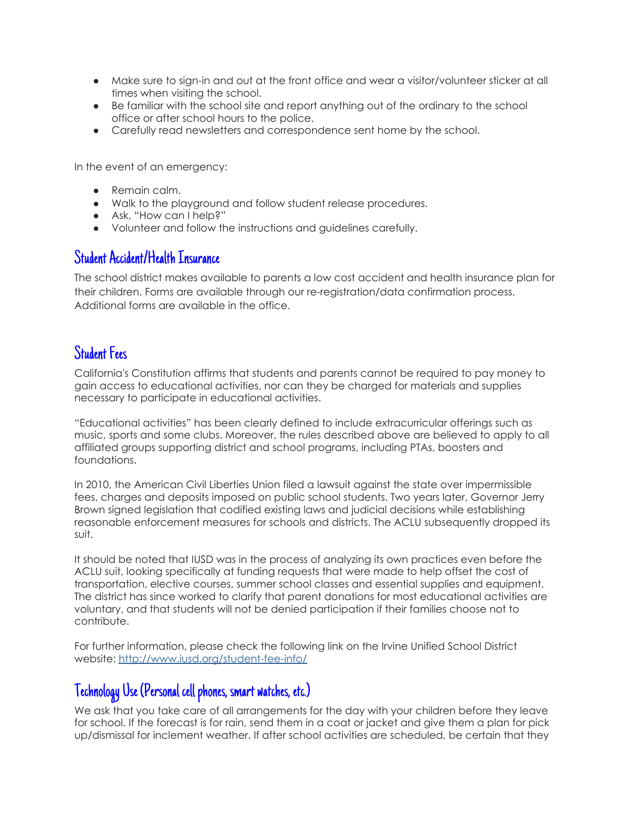- Make sure to sign-in and out at the front office and wear a visitor/volunteer sticker at all times when visiting the school.
- Be familiar with the school site and report anything out of the ordinary to the school office or after school hours to the police.
- Carefully read newsletters and correspondence sent home by the school.

In the event of an emergency:

- Remain calm.
- Walk to the playground and follow student release procedures.
- Ask, "How can I help?"
- Volunteer and follow the instructions and guidelines carefully.

#### Student Accident/Health Insurance

The school district makes available to parents a low cost accident and health insurance plan for their children. Forms are available through our re-registration/data confirmation process. Additional forms are available in the office.

#### Student Fees

California's Constitution affirms that students and parents cannot be required to pay money to gain access to educational activities, nor can they be charged for materials and supplies necessary to participate in educational activities.

"Educational activities" has been clearly defined to include extracurricular offerings such as music, sports and some clubs. Moreover, the rules described above are believed to apply to all affiliated groups supporting district and school programs, including PTAs, boosters and foundations.

In 2010, the American Civil Liberties Union filed a lawsuit against the state over impermissible fees, charges and deposits imposed on public school students. Two years later, Governor Jerry Brown signed legislation that codified existing laws and judicial decisions while establishing reasonable enforcement measures for schools and districts. The ACLU subsequently dropped its suit.

It should be noted that IUSD was in the process of analyzing its own practices even before the ACLU suit, looking specifically at funding requests that were made to help offset the cost of transportation, elective courses, summer school classes and essential supplies and equipment. The district has since worked to clarify that parent donations for most educational activities are voluntary, and that students will not be denied participation if their families choose not to contribute.

For furth[e](http://web.iusd.org/student-fee-info/)r information, please check the following link on the Irvine Unified School District website: [http://www.iusd.org/student-fee-info/](http://web.iusd.org/student-fee-info/)

# Technology Use (Personal cell phones, smart watches, etc.)

We ask that you take care of all arrangements for the day with your children before they leave for school. If the forecast is for rain, send them in a coat or jacket and give them a plan for pick up/dismissal for inclement weather. If after school activities are scheduled, be certain that they